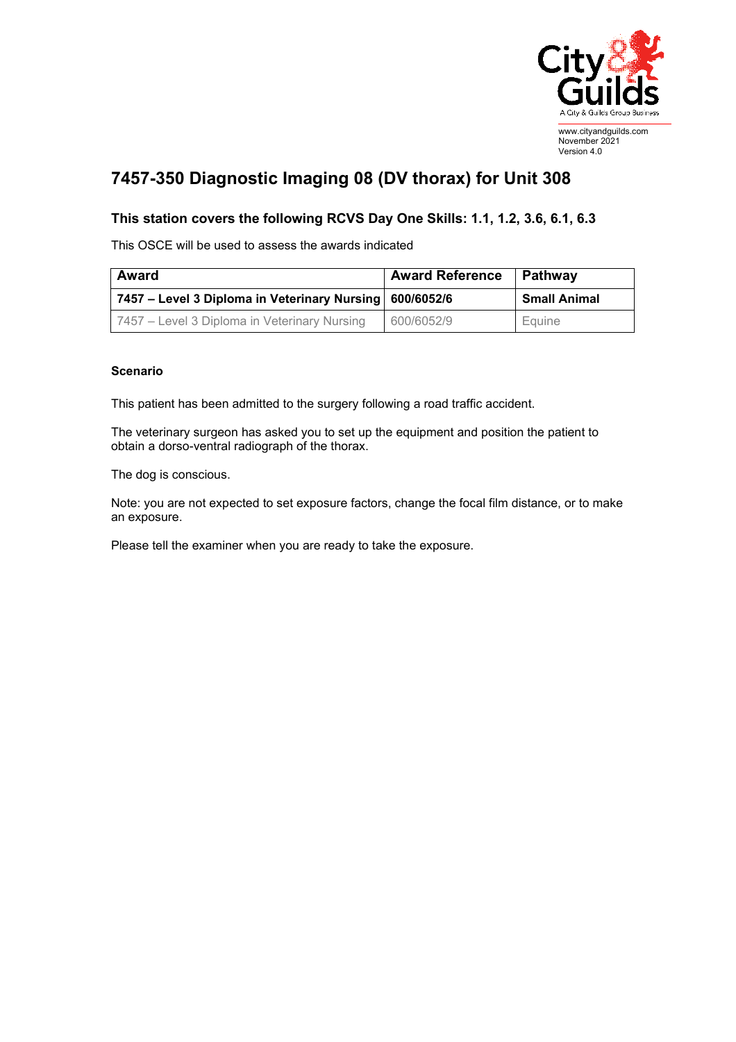

Version 4.0

## **7457-350 Diagnostic Imaging 08 (DV thorax) for Unit 308**

## **This station covers the following RCVS Day One Skills: 1.1, 1.2, 3.6, 6.1, 6.3**

This OSCE will be used to assess the awards indicated

| <b>Award</b>                                              | <b>Award Reference</b> | Pathway             |
|-----------------------------------------------------------|------------------------|---------------------|
| 7457 – Level 3 Diploma in Veterinary Nursing   600/6052/6 |                        | <b>Small Animal</b> |
| 7457 – Level 3 Diploma in Veterinary Nursing              | 600/6052/9             | Equine              |

## **Scenario**

This patient has been admitted to the surgery following a road traffic accident.

The veterinary surgeon has asked you to set up the equipment and position the patient to obtain a dorso-ventral radiograph of the thorax.

The dog is conscious.

Note: you are not expected to set exposure factors, change the focal film distance, or to make an exposure.

Please tell the examiner when you are ready to take the exposure.